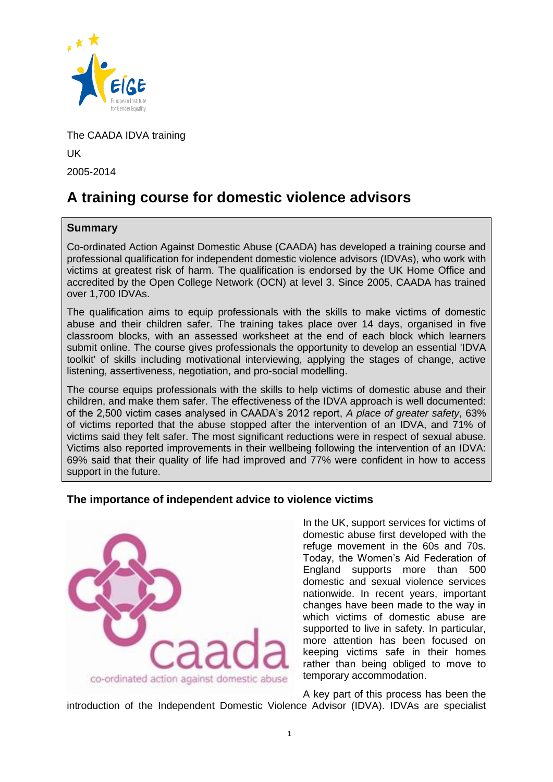

The CAADA IDVA training UK 2005-2014

# **A training course for domestic violence advisors**

# **Summary**

Co-ordinated Action Against Domestic Abuse (CAADA) has developed a training course and professional qualification for independent domestic violence advisors (IDVAs), who work with victims at greatest risk of harm. The qualification is endorsed by the UK Home Office and accredited by the Open College Network (OCN) at level 3. Since 2005, CAADA has trained over 1,700 IDVAs.

The qualification aims to equip professionals with the skills to make victims of domestic abuse and their children safer. The training takes place over 14 days, organised in five classroom blocks, with an assessed worksheet at the end of each block which learners submit online. The course gives professionals the opportunity to develop an essential 'IDVA toolkit' of skills including motivational interviewing, applying the stages of change, active listening, assertiveness, negotiation, and pro-social modelling.

The course equips professionals with the skills to help victims of domestic abuse and their children, and make them safer. The effectiveness of the IDVA approach is well documented: of the 2,500 victim cases analysed in CAADA's 2012 report, *A place of greater safety*, 63% of victims reported that the abuse stopped after the intervention of an IDVA, and 71% of victims said they felt safer. The most significant reductions were in respect of sexual abuse. Victims also reported improvements in their wellbeing following the intervention of an IDVA: 69% said that their quality of life had improved and 77% were confident in how to access support in the future.

# **The importance of independent advice to violence victims**



In the UK, support services for victims of domestic abuse first developed with the refuge movement in the 60s and 70s. Today, the Women's Aid Federation of England supports more than 500 domestic and sexual violence services nationwide. In recent years, important changes have been made to the way in which victims of domestic abuse are supported to live in safety. In particular, more attention has been focused on keeping victims safe in their homes rather than being obliged to move to temporary accommodation.

A key part of this process has been the introduction of the Independent Domestic Violence Advisor (IDVA). IDVAs are specialist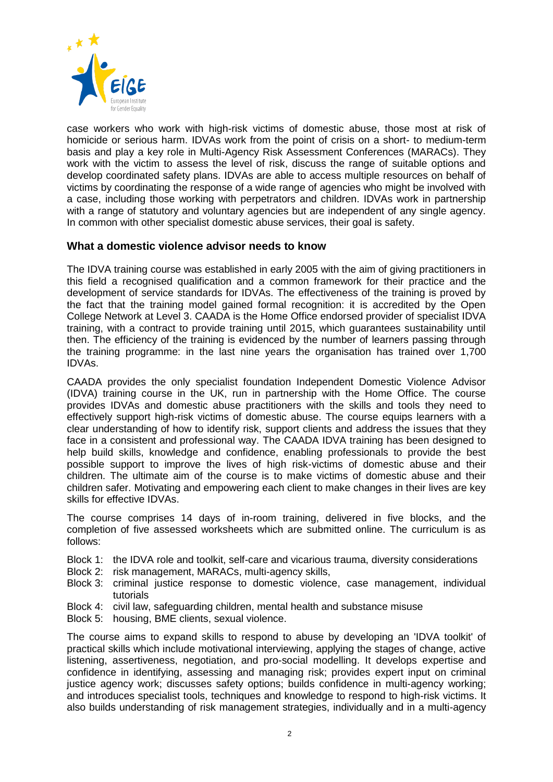

case workers who work with high-risk victims of domestic abuse, those most at risk of homicide or serious harm. IDVAs work from the point of crisis on a short- to medium-term basis and play a key role in Multi-Agency Risk Assessment Conferences (MARACs). They work with the victim to assess the level of risk, discuss the range of suitable options and develop coordinated safety plans. IDVAs are able to access multiple resources on behalf of victims by coordinating the response of a wide range of agencies who might be involved with a case, including those working with perpetrators and children. IDVAs work in partnership with a range of statutory and voluntary agencies but are independent of any single agency. In common with other specialist domestic abuse services, their goal is safety.

# **What a domestic violence advisor needs to know**

The IDVA training course was established in early 2005 with the aim of giving practitioners in this field a recognised qualification and a common framework for their practice and the development of service standards for IDVAs. The effectiveness of the training is proved by the fact that the training model gained formal recognition: it is accredited by the Open College Network at Level 3. CAADA is the Home Office endorsed provider of specialist IDVA training, with a contract to provide training until 2015, which guarantees sustainability until then. The efficiency of the training is evidenced by the number of learners passing through the training programme: in the last nine years the organisation has trained over 1,700 IDVAs.

CAADA provides the only specialist foundation Independent Domestic Violence Advisor (IDVA) training course in the UK, run in partnership with the Home Office. The course provides IDVAs and domestic abuse practitioners with the skills and tools they need to effectively support high-risk victims of domestic abuse. The course equips learners with a clear understanding of how to identify risk, support clients and address the issues that they face in a consistent and professional way. The CAADA IDVA training has been designed to help build skills, knowledge and confidence, enabling professionals to provide the best possible support to improve the lives of high risk-victims of domestic abuse and their children. The ultimate aim of the course is to make victims of domestic abuse and their children safer. Motivating and empowering each client to make changes in their lives are key skills for effective IDVAs.

The course comprises 14 days of in-room training, delivered in five blocks, and the completion of five assessed worksheets which are submitted online. The curriculum is as follows:

- Block 1: the IDVA role and toolkit, self-care and vicarious trauma, diversity considerations
- Block 2: risk management, MARACs, multi-agency skills,
- Block 3: criminal justice response to domestic violence, case management, individual tutorials
- Block 4: civil law, safeguarding children, mental health and substance misuse
- Block 5: housing, BME clients, sexual violence.

The course aims to expand skills to respond to abuse by developing an 'IDVA toolkit' of practical skills which include motivational interviewing, applying the stages of change, active listening, assertiveness, negotiation, and pro-social modelling. It develops expertise and confidence in identifying, assessing and managing risk; provides expert input on criminal justice agency work; discusses safety options; builds confidence in multi-agency working; and introduces specialist tools, techniques and knowledge to respond to high-risk victims. It also builds understanding of risk management strategies, individually and in a multi-agency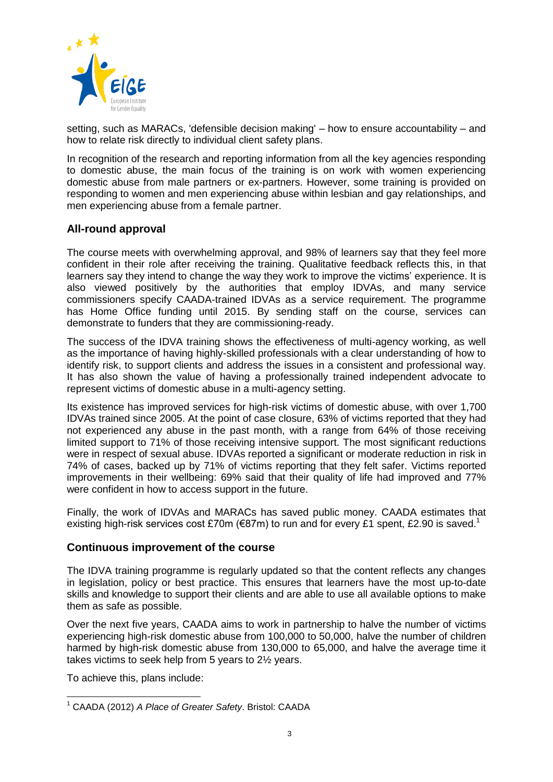

setting, such as MARACs, 'defensible decision making' – how to ensure accountability – and how to relate risk directly to individual client safety plans.

In recognition of the research and reporting information from all the key agencies responding to domestic abuse, the main focus of the training is on work with women experiencing domestic abuse from male partners or ex-partners. However, some training is provided on responding to women and men experiencing abuse within lesbian and gay relationships, and men experiencing abuse from a female partner.

# **All-round approval**

The course meets with overwhelming approval, and 98% of learners say that they feel more confident in their role after receiving the training. Qualitative feedback reflects this, in that learners say they intend to change the way they work to improve the victims' experience. It is also viewed positively by the authorities that employ IDVAs, and many service commissioners specify CAADA-trained IDVAs as a service requirement. The programme has Home Office funding until 2015. By sending staff on the course, services can demonstrate to funders that they are commissioning-ready.

The success of the IDVA training shows the effectiveness of multi-agency working, as well as the importance of having highly-skilled professionals with a clear understanding of how to identify risk, to support clients and address the issues in a consistent and professional way. It has also shown the value of having a professionally trained independent advocate to represent victims of domestic abuse in a multi-agency setting.

Its existence has improved services for high-risk victims of domestic abuse, with over 1,700 IDVAs trained since 2005. At the point of case closure, 63% of victims reported that they had not experienced any abuse in the past month, with a range from 64% of those receiving limited support to 71% of those receiving intensive support. The most significant reductions were in respect of sexual abuse. IDVAs reported a significant or moderate reduction in risk in 74% of cases, backed up by 71% of victims reporting that they felt safer. Victims reported improvements in their wellbeing: 69% said that their quality of life had improved and 77% were confident in how to access support in the future.

Finally, the work of IDVAs and MARACs has saved public money. CAADA estimates that existing high-risk services cost £70m (€87m) to run and for every £1 spent, £2.90 is saved.<sup>1</sup>

#### **Continuous improvement of the course**

The IDVA training programme is regularly updated so that the content reflects any changes in legislation, policy or best practice. This ensures that learners have the most up-to-date skills and knowledge to support their clients and are able to use all available options to make them as safe as possible.

Over the next five years, CAADA aims to work in partnership to halve the number of victims experiencing high-risk domestic abuse from 100,000 to 50,000, halve the number of children harmed by high-risk domestic abuse from 130,000 to 65,000, and halve the average time it takes victims to seek help from 5 years to 2½ years.

To achieve this, plans include:

 $\overline{\phantom{a}}$ <sup>1</sup> CAADA (2012) *A Place of Greater Safety*. Bristol: CAADA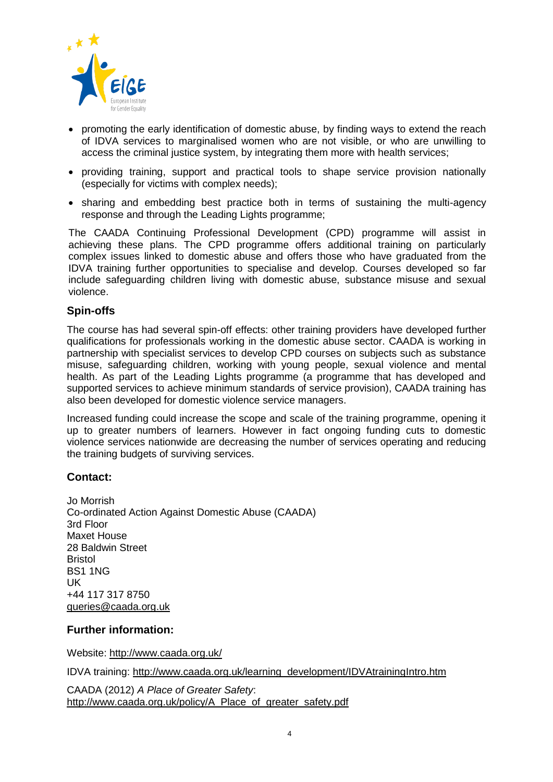

- promoting the early identification of domestic abuse, by finding ways to extend the reach of IDVA services to marginalised women who are not visible, or who are unwilling to access the criminal justice system, by integrating them more with health services;
- providing training, support and practical tools to shape service provision nationally (especially for victims with complex needs);
- sharing and embedding best practice both in terms of sustaining the multi-agency response and through the Leading Lights programme;

The CAADA Continuing Professional Development (CPD) programme will assist in achieving these plans. The CPD programme offers additional training on particularly complex issues linked to domestic abuse and offers those who have graduated from the IDVA training further opportunities to specialise and develop. Courses developed so far include safeguarding children living with domestic abuse, substance misuse and sexual violence.

#### **Spin-offs**

The course has had several spin-off effects: other training providers have developed further qualifications for professionals working in the domestic abuse sector. CAADA is working in partnership with specialist services to develop CPD courses on subjects such as substance misuse, safeguarding children, working with young people, sexual violence and mental health. As part of the Leading Lights programme (a programme that has developed and supported services to achieve minimum standards of service provision), CAADA training has also been developed for domestic violence service managers.

Increased funding could increase the scope and scale of the training programme, opening it up to greater numbers of learners. However in fact ongoing funding cuts to domestic violence services nationwide are decreasing the number of services operating and reducing the training budgets of surviving services.

#### **Contact:**

Jo Morrish Co-ordinated Action Against Domestic Abuse (CAADA) 3rd Floor Maxet House 28 Baldwin Street Bristol BS1 1NG UK +44 117 317 8750 [queries@caada.org.uk](mailto:queries@caada.org.uk)

#### **Further information:**

Website:<http://www.caada.org.uk/>

IDVA training: [http://www.caada.org.uk/learning\\_development/IDVAtrainingIntro.htm](http://www.caada.org.uk/learning_development/IDVAtrainingIntro.htm)

CAADA (2012) *A Place of Greater Safety*: [http://www.caada.org.uk/policy/A\\_Place\\_of\\_greater\\_safety.pdf](http://www.caada.org.uk/policy/A_Place_of_greater_safety.pdf)